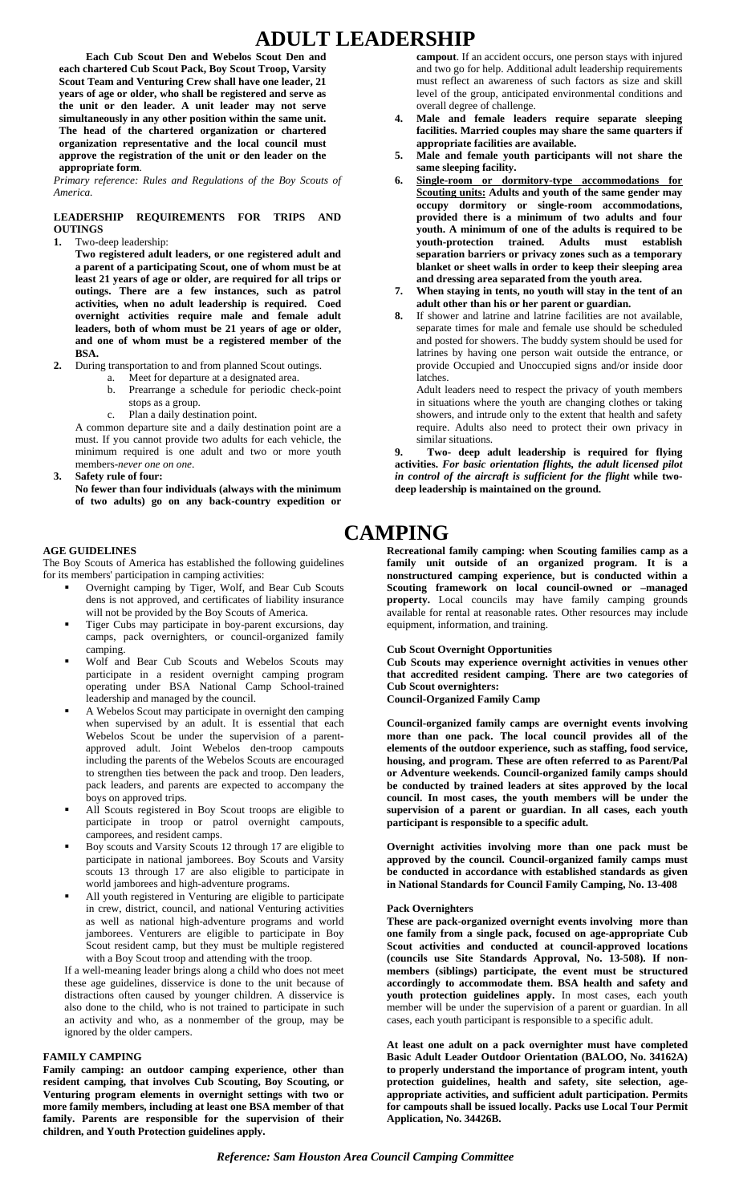# **ADULT LEADERSHIP**

**Each Cub Scout Den and Webelos Scout Den and each chartered Cub Scout Pack, Boy Scout Troop, Varsity Scout Team and Venturing Crew shall have one leader, 21 years of age or older, who shall be registered and serve as the unit or den leader. A unit leader may not serve simultaneously in any other position within the same unit. The head of the chartered organization or chartered organization representative and the local council must approve the registration of the unit or den leader on the appropriate form**.

 *Primary reference: Rules and Regulations of the Boy Scouts of America.* 

### **LEADERSHIP REQUIREMENTS FOR TRIPS AND OUTINGS**

**1.** Two-deep leadership:

**Two registered adult leaders, or one registered adult and a parent of a participating Scout, one of whom must be at least 21 years of age or older, are required for all trips or outings. There are a few instances, such as patrol activities, when no adult leadership is required. Coed overnight activities require male and female adult leaders, both of whom must be 21 years of age or older, and one of whom must be a registered member of the BSA.** 

- **2.** During transportation to and from planned Scout outings.
	- a. Meet for departure at a designated area.
		- b. Prearrange a schedule for periodic check-point stops as a group.
		- c. Plan a daily destination point.

A common departure site and a daily destination point are a must. If you cannot provide two adults for each vehicle, the minimum required is one adult and two or more youth members-*never one on one*.

**3. Safety rule of four:** 

**No fewer than four individuals (always with the minimum of two adults) go on any back-country expedition or** 

### **AGE GUIDELINES**

The Boy Scouts of America has established the following guidelines for its members' participation in camping activities:

- Overnight camping by Tiger, Wolf, and Bear Cub Scouts dens is not approved, and certificates of liability insurance will not be provided by the Boy Scouts of America.
- Tiger Cubs may participate in boy-parent excursions, day camps, pack overnighters, or council-organized family camping.
- Wolf and Bear Cub Scouts and Webelos Scouts may participate in a resident overnight camping program operating under BSA National Camp School-trained leadership and managed by the council.
- A Webelos Scout may participate in overnight den camping when supervised by an adult. It is essential that each Webelos Scout be under the supervision of a parentapproved adult. Joint Webelos den-troop campouts including the parents of the Webelos Scouts are encouraged to strengthen ties between the pack and troop. Den leaders, pack leaders, and parents are expected to accompany the boys on approved trips.
- All Scouts registered in Boy Scout troops are eligible to participate in troop or patrol overnight campouts, camporees, and resident camps.
- Boy scouts and Varsity Scouts 12 through 17 are eligible to participate in national jamborees. Boy Scouts and Varsity scouts 13 through 17 are also eligible to participate in world jamborees and high-adventure programs.
- All youth registered in Venturing are eligible to participate in crew, district, council, and national Venturing activities as well as national high-adventure programs and world jamborees. Venturers are eligible to participate in Boy Scout resident camp, but they must be multiple registered with a Boy Scout troop and attending with the troop.

If a well-meaning leader brings along a child who does not meet these age guidelines, disservice is done to the unit because of distractions often caused by younger children. A disservice is also done to the child, who is not trained to participate in such an activity and who, as a nonmember of the group, may be ignored by the older campers.

#### **FAMILY CAMPING**

**Family camping: an outdoor camping experience, other than resident camping, that involves Cub Scouting, Boy Scouting, or Venturing program elements in overnight settings with two or more family members, including at least one BSA member of that family. Parents are responsible for the supervision of their children, and Youth Protection guidelines apply.** 

**campout**. If an accident occurs, one person stays with injured and two go for help. Additional adult leadership requirements must reflect an awareness of such factors as size and skill level of the group, anticipated environmental conditions and overall degree of challenge.

- **4. Male and female leaders require separate sleeping facilities. Married couples may share the same quarters if appropriate facilities are available.**
- **5. Male and female youth participants will not share the same sleeping facility.**
- **6. Single-room or dormitory-type accommodations for Scouting units: Adults and youth of the same gender may occupy dormitory or single-room accommodations, provided there is a minimum of two adults and four youth. A minimum of one of the adults is required to be youth-protection trained. Adults must establish separation barriers or privacy zones such as a temporary blanket or sheet walls in order to keep their sleeping area and dressing area separated from the youth area.**
- **7. When staying in tents, no youth will stay in the tent of an adult other than his or her parent or guardian.**
- **8.** If shower and latrine and latrine facilities are not available, separate times for male and female use should be scheduled and posted for showers. The buddy system should be used for latrines by having one person wait outside the entrance, or provide Occupied and Unoccupied signs and/or inside door latches.

Adult leaders need to respect the privacy of youth members in situations where the youth are changing clothes or taking showers, and intrude only to the extent that health and safety require. Adults also need to protect their own privacy in similar situations.

**9. Two- deep adult leadership is required for flying activities.** *For basic orientation flights, the adult licensed pilot*  in control of the aircraft is sufficient for the flight while two**deep leadership is maintained on the ground.** 

# **CAMPING**

**Recreational family camping: when Scouting families camp as a family unit outside of an organized program. It is a nonstructured camping experience, but is conducted within a Scouting framework on local council-owned or –managed property.** Local councils may have family camping grounds available for rental at reasonable rates. Other resources may include equipment, information, and training.

#### **Cub Scout Overnight Opportunities**

**Cub Scouts may experience overnight activities in venues other that accredited resident camping. There are two categories of Cub Scout overnighters:** 

### **Council-Organized Family Camp**

**Council-organized family camps are overnight events involving more than one pack. The local council provides all of the elements of the outdoor experience, such as staffing, food service, housing, and program. These are often referred to as Parent/Pal or Adventure weekends. Council-organized family camps should be conducted by trained leaders at sites approved by the local council. In most cases, the youth members will be under the supervision of a parent or guardian. In all cases, each youth participant is responsible to a specific adult.** 

**Overnight activities involving more than one pack must be approved by the council. Council-organized family camps must be conducted in accordance with established standards as given in National Standards for Council Family Camping, No. 13-408** 

#### **Pack Overnighters**

**These are pack-organized overnight events involving more than one family from a single pack, focused on age-appropriate Cub Scout activities and conducted at council-approved locations (councils use Site Standards Approval, No. 13-508). If nonmembers (siblings) participate, the event must be structured accordingly to accommodate them. BSA health and safety and youth protection guidelines apply.** In most cases, each youth member will be under the supervision of a parent or guardian. In all cases, each youth participant is responsible to a specific adult.

**At least one adult on a pack overnighter must have completed Basic Adult Leader Outdoor Orientation (BALOO, No. 34162A) to properly understand the importance of program intent, youth protection guidelines, health and safety, site selection, ageappropriate activities, and sufficient adult participation. Permits for campouts shall be issued locally. Packs use Local Tour Permit Application, No. 34426B.**